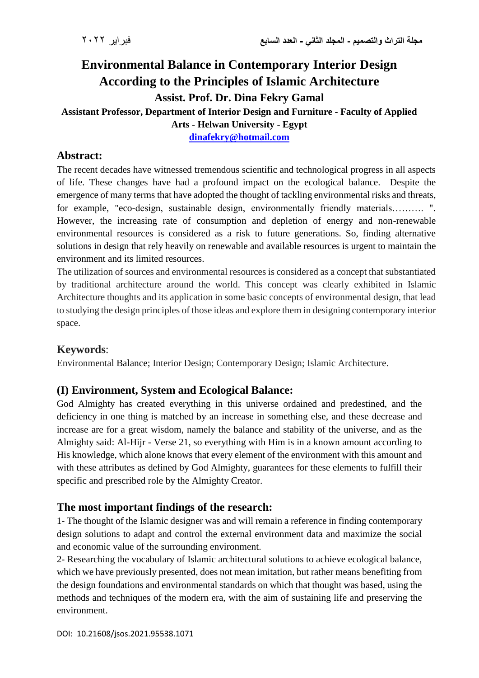# **Environmental Balance in Contemporary Interior Design According to the Principles of Islamic Architecture Assist. Prof. Dr. Dina Fekry Gamal**

## **Assistant Professor, Department of Interior Design and Furniture - Faculty of Applied**

**Arts - Helwan University - Egypt**

**[dinafekry@hotmail.com](mailto:dinafekry@hotmail.com)**

## **Abstract:**

The recent decades have witnessed tremendous scientific and technological progress in all aspects of life. These changes have had a profound impact on the ecological balance. Despite the emergence of many terms that have adopted the thought of tackling environmental risks and threats, for example, "eco-design, sustainable design, environmentally friendly materials………. ". However, the increasing rate of consumption and depletion of energy and non-renewable environmental resources is considered as a risk to future generations. So, finding alternative solutions in design that rely heavily on renewable and available resources is urgent to maintain the environment and its limited resources.

The utilization of sources and environmental resources is considered as a concept that substantiated by traditional architecture around the world. This concept was clearly exhibited in Islamic Architecture thoughts and its application in some basic concepts of environmental design, that lead to studying the design principles of those ideas and explore them in designing contemporary interior space.

## **Keywords**:

Environmental Balance; Interior Design; Contemporary Design; Islamic Architecture.

## **(I) Environment, System and Ecological Balance:**

God Almighty has created everything in this universe ordained and predestined, and the deficiency in one thing is matched by an increase in something else, and these decrease and increase are for a great wisdom, namely the balance and stability of the universe, and as the Almighty said: Al-Hijr - Verse 21, so everything with Him is in a known amount according to His knowledge, which alone knows that every element of the environment with this amount and with these attributes as defined by God Almighty, guarantees for these elements to fulfill their specific and prescribed role by the Almighty Creator.

## **The most important findings of the research:**

1- The thought of the Islamic designer was and will remain a reference in finding contemporary design solutions to adapt and control the external environment data and maximize the social and economic value of the surrounding environment.

2- Researching the vocabulary of Islamic architectural solutions to achieve ecological balance, which we have previously presented, does not mean imitation, but rather means benefiting from the design foundations and environmental standards on which that thought was based, using the methods and techniques of the modern era, with the aim of sustaining life and preserving the environment.